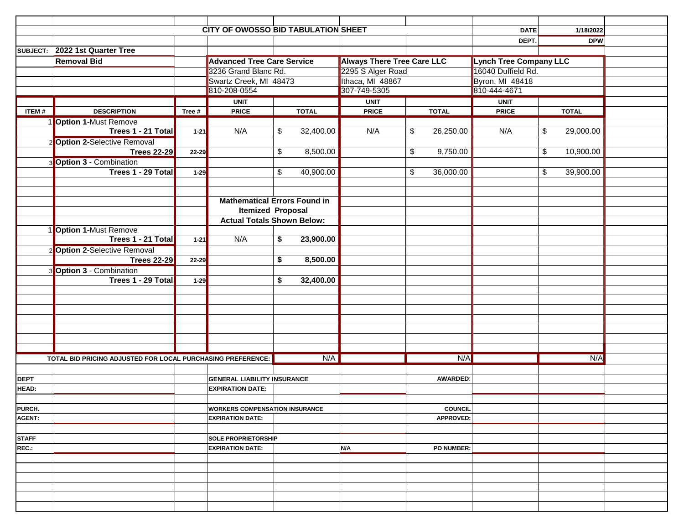|              |                                                             |           | <b>CITY OF OWOSSO BID TABULATION SHEET</b> |                         |              |                                   |    |                 | <b>DATE</b>                   | 1/18/2022                            |  |
|--------------|-------------------------------------------------------------|-----------|--------------------------------------------|-------------------------|--------------|-----------------------------------|----|-----------------|-------------------------------|--------------------------------------|--|
|              |                                                             |           |                                            |                         |              |                                   |    |                 | DEPT.                         | <b>DPW</b>                           |  |
|              | SUBJECT: 2022 1st Quarter Tree                              |           |                                            |                         |              |                                   |    |                 |                               |                                      |  |
|              | <b>Removal Bid</b>                                          |           | <b>Advanced Tree Care Service</b>          |                         |              | <b>Always There Tree Care LLC</b> |    |                 | <b>Lynch Tree Company LLC</b> |                                      |  |
|              |                                                             |           | 3236 Grand Blanc Rd.                       |                         |              | 2295 S Alger Road                 |    |                 | 16040 Duffield Rd.            |                                      |  |
|              |                                                             |           | Swartz Creek, MI 48473                     |                         |              | Ithaca, MI 48867                  |    |                 | Byron, MI 48418               |                                      |  |
|              |                                                             |           | 810-208-0554                               |                         | 307-749-5305 |                                   |    | 810-444-4671    |                               |                                      |  |
|              |                                                             |           | <b>UNIT</b>                                |                         |              | <b>UNIT</b>                       |    |                 | <b>UNIT</b>                   |                                      |  |
| ITEM#        | <b>DESCRIPTION</b>                                          | Tree #    | <b>PRICE</b>                               |                         | <b>TOTAL</b> | <b>PRICE</b>                      |    | <b>TOTAL</b>    | <b>PRICE</b>                  | <b>TOTAL</b>                         |  |
|              |                                                             |           |                                            |                         |              |                                   |    |                 |                               |                                      |  |
|              | 1 Option 1-Must Remove                                      |           |                                            |                         |              |                                   |    |                 |                               |                                      |  |
|              | Trees 1 - 21 Total                                          | $1 - 21$  | N/A                                        | \$                      | 32,400.00    | N/A                               | \$ | 26,250.00       | N/A                           | $\sqrt[6]{\frac{1}{2}}$<br>29,000.00 |  |
|              | 2 Option 2-Selective Removal                                |           |                                            |                         |              |                                   |    |                 |                               |                                      |  |
|              | <b>Trees 22-29</b>                                          | $22 - 29$ |                                            | $\overline{\mathbf{3}}$ | 8,500.00     |                                   | \$ | 9,750.00        |                               | $\overline{\mathbf{S}}$<br>10,900.00 |  |
|              | <b>Option 3 - Combination</b>                               |           |                                            |                         |              |                                   |    |                 |                               |                                      |  |
|              | Trees 1 - 29 Total                                          | $1 - 29$  |                                            | \$                      | 40,900.00    |                                   | \$ | 36,000.00       |                               | \$<br>39,900.00                      |  |
|              |                                                             |           |                                            |                         |              |                                   |    |                 |                               |                                      |  |
|              |                                                             |           |                                            |                         |              |                                   |    |                 |                               |                                      |  |
|              |                                                             |           | <b>Mathematical Errors Found in</b>        |                         |              |                                   |    |                 |                               |                                      |  |
|              |                                                             |           | <b>Itemized Proposal</b>                   |                         |              |                                   |    |                 |                               |                                      |  |
|              |                                                             |           | <b>Actual Totals Shown Below:</b>          |                         |              |                                   |    |                 |                               |                                      |  |
|              | <b>Option 1-Must Remove</b>                                 |           |                                            |                         |              |                                   |    |                 |                               |                                      |  |
|              | Trees 1 - 21 Total                                          | $1 - 21$  | N/A                                        | \$                      | 23,900.00    |                                   |    |                 |                               |                                      |  |
|              | 2 Option 2-Selective Removal                                |           |                                            |                         |              |                                   |    |                 |                               |                                      |  |
|              |                                                             |           |                                            | \$                      | 8,500.00     |                                   |    |                 |                               |                                      |  |
|              | <b>Trees 22-29</b>                                          | $22 - 29$ |                                            |                         |              |                                   |    |                 |                               |                                      |  |
|              | <b>Option 3 - Combination</b>                               |           |                                            |                         |              |                                   |    |                 |                               |                                      |  |
|              | Trees 1 - 29 Total                                          | $1 - 29$  |                                            | \$                      | 32,400.00    |                                   |    |                 |                               |                                      |  |
|              |                                                             |           |                                            |                         |              |                                   |    |                 |                               |                                      |  |
|              |                                                             |           |                                            |                         |              |                                   |    |                 |                               |                                      |  |
|              |                                                             |           |                                            |                         |              |                                   |    |                 |                               |                                      |  |
|              |                                                             |           |                                            |                         |              |                                   |    |                 |                               |                                      |  |
|              |                                                             |           |                                            |                         |              |                                   |    |                 |                               |                                      |  |
|              |                                                             |           |                                            |                         |              |                                   |    |                 |                               |                                      |  |
|              |                                                             |           |                                            |                         |              |                                   |    |                 |                               |                                      |  |
|              | TOTAL BID PRICING ADJUSTED FOR LOCAL PURCHASING PREFERENCE: |           |                                            |                         | N/A          |                                   |    | N/A             |                               | N/A                                  |  |
|              |                                                             |           |                                            |                         |              |                                   |    |                 |                               |                                      |  |
| <b>DEPT</b>  |                                                             |           | <b>GENERAL LIABILITY INSURANCE</b>         |                         |              |                                   |    | <b>AWARDED:</b> |                               |                                      |  |
| <b>HEAD:</b> |                                                             |           | <b>EXPIRATION DATE:</b>                    |                         |              |                                   |    |                 |                               |                                      |  |
|              |                                                             |           |                                            |                         |              |                                   |    |                 |                               |                                      |  |
| PURCH.       |                                                             |           |                                            |                         |              |                                   |    | <b>COUNCIL</b>  |                               |                                      |  |
| AGENT:       |                                                             |           | <b>WORKERS COMPENSATION INSURANCE</b>      |                         |              |                                   |    | APPROVED:       |                               |                                      |  |
|              |                                                             |           | <b>EXPIRATION DATE:</b>                    |                         |              |                                   |    |                 |                               |                                      |  |
|              |                                                             |           |                                            |                         |              |                                   |    |                 |                               |                                      |  |
| <b>STAFF</b> |                                                             |           | <b>SOLE PROPRIETORSHIP</b>                 |                         |              |                                   |    |                 |                               |                                      |  |
| REC.:        |                                                             |           | <b>EXPIRATION DATE:</b>                    |                         |              | N/A                               |    | PO NUMBER:      |                               |                                      |  |
|              |                                                             |           |                                            |                         |              |                                   |    |                 |                               |                                      |  |
|              |                                                             |           |                                            |                         |              |                                   |    |                 |                               |                                      |  |
|              |                                                             |           |                                            |                         |              |                                   |    |                 |                               |                                      |  |
|              |                                                             |           |                                            |                         |              |                                   |    |                 |                               |                                      |  |
|              |                                                             |           |                                            |                         |              |                                   |    |                 |                               |                                      |  |
|              |                                                             |           |                                            |                         |              |                                   |    |                 |                               |                                      |  |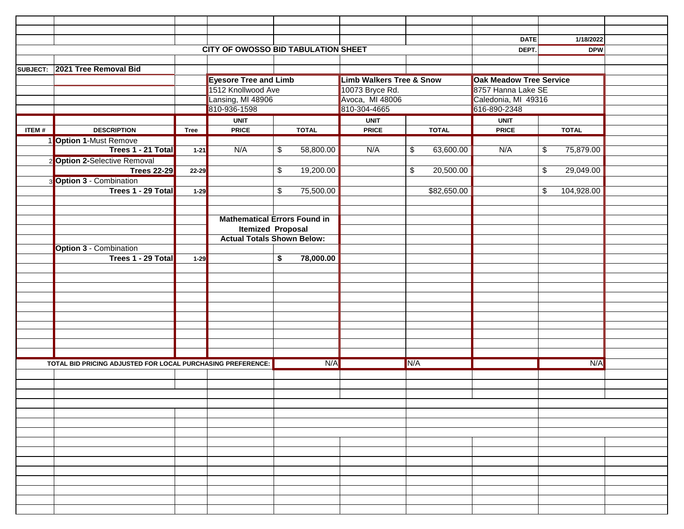|          |                                                             |             |                                            |                          |              |                                     |              |             | DATE                           | 1/18/2022                            |  |  |
|----------|-------------------------------------------------------------|-------------|--------------------------------------------|--------------------------|--------------|-------------------------------------|--------------|-------------|--------------------------------|--------------------------------------|--|--|
|          |                                                             |             | <b>CITY OF OWOSSO BID TABULATION SHEET</b> |                          |              |                                     |              |             | DEPT.                          | <b>DPW</b>                           |  |  |
|          |                                                             |             |                                            |                          |              |                                     |              |             |                                |                                      |  |  |
| SUBJECT: | 2021 Tree Removal Bid                                       |             |                                            |                          |              |                                     |              |             |                                |                                      |  |  |
|          |                                                             |             | <b>Eyesore Tree and Limb</b>               |                          |              | <b>Limb Walkers Tree &amp; Snow</b> |              |             | <b>Oak Meadow Tree Service</b> |                                      |  |  |
|          |                                                             |             | 1512 Knollwood Ave                         |                          |              | 10073 Bryce Rd.                     |              |             | 8757 Hanna Lake SE             |                                      |  |  |
|          |                                                             |             | Lansing, MI 48906                          |                          |              | Avoca, MI 48006                     |              |             | Caledonia, MI 49316            |                                      |  |  |
|          |                                                             |             | 810-936-1598                               |                          |              |                                     | 810-304-4665 |             |                                | 616-890-2348                         |  |  |
|          |                                                             |             | <b>UNIT</b>                                |                          |              | <b>UNIT</b>                         |              |             | <b>UNIT</b>                    |                                      |  |  |
| ITEM#    | <b>DESCRIPTION</b>                                          | <b>Tree</b> | <b>PRICE</b>                               |                          | <b>TOTAL</b> | <b>PRICE</b>                        | <b>TOTAL</b> |             | <b>PRICE</b>                   | <b>TOTAL</b>                         |  |  |
|          | 1 Option 1-Must Remove                                      |             |                                            |                          |              |                                     |              |             |                                |                                      |  |  |
|          | Trees 1 - 21 Total                                          | $1 - 21$    | N/A                                        | $\overline{\mathcal{G}}$ | 58,800.00    | N/A                                 | \$           | 63,600.00   | N/A                            | $\overline{\mathbf{e}}$<br>75,879.00 |  |  |
|          |                                                             |             |                                            |                          |              |                                     |              |             |                                |                                      |  |  |
|          | 2 Option 2-Selective Removal                                |             |                                            | \$                       | 19,200.00    |                                     | \$           | 20,500.00   |                                | $\overline{\mathbf{e}}$<br>29,049.00 |  |  |
|          | <b>Trees 22-29</b>                                          | $22 - 29$   |                                            |                          |              |                                     |              |             |                                |                                      |  |  |
|          | <b>Option 3 - Combination</b>                               |             |                                            |                          |              |                                     |              |             |                                |                                      |  |  |
|          | Trees 1 - 29 Total                                          | $1-29$      |                                            | \$                       | 75,500.00    |                                     |              | \$82,650.00 |                                | \$<br>104,928.00                     |  |  |
|          |                                                             |             |                                            |                          |              |                                     |              |             |                                |                                      |  |  |
|          |                                                             |             | <b>Mathematical Errors Found in</b>        |                          |              |                                     |              |             |                                |                                      |  |  |
|          |                                                             |             | <b>Itemized Proposal</b>                   |                          |              |                                     |              |             |                                |                                      |  |  |
|          |                                                             |             | <b>Actual Totals Shown Below:</b>          |                          |              |                                     |              |             |                                |                                      |  |  |
|          |                                                             |             |                                            |                          |              |                                     |              |             |                                |                                      |  |  |
|          | <b>Option 3 - Combination</b><br>Trees 1 - 29 Total         |             |                                            |                          |              |                                     |              |             |                                |                                      |  |  |
|          |                                                             | $1 - 29$    |                                            | \$                       | 78,000.00    |                                     |              |             |                                |                                      |  |  |
|          |                                                             |             |                                            |                          |              |                                     |              |             |                                |                                      |  |  |
|          |                                                             |             |                                            |                          |              |                                     |              |             |                                |                                      |  |  |
|          |                                                             |             |                                            |                          |              |                                     |              |             |                                |                                      |  |  |
|          |                                                             |             |                                            |                          |              |                                     |              |             |                                |                                      |  |  |
|          |                                                             |             |                                            |                          |              |                                     |              |             |                                |                                      |  |  |
|          |                                                             |             |                                            |                          |              |                                     |              |             |                                |                                      |  |  |
|          |                                                             |             |                                            |                          |              |                                     |              |             |                                |                                      |  |  |
|          |                                                             |             |                                            |                          |              |                                     |              |             |                                |                                      |  |  |
|          |                                                             |             |                                            |                          |              |                                     |              |             |                                |                                      |  |  |
|          | TOTAL BID PRICING ADJUSTED FOR LOCAL PURCHASING PREFERENCE: |             |                                            | N/A                      |              |                                     | N/A          |             | N/A                            |                                      |  |  |
|          |                                                             |             |                                            |                          |              |                                     |              |             |                                |                                      |  |  |
|          |                                                             |             |                                            |                          |              |                                     |              |             |                                |                                      |  |  |
|          |                                                             |             |                                            |                          |              |                                     |              |             |                                |                                      |  |  |
|          |                                                             |             |                                            |                          |              |                                     |              |             |                                |                                      |  |  |
|          |                                                             |             |                                            |                          |              |                                     |              |             |                                |                                      |  |  |
|          |                                                             |             |                                            |                          |              |                                     |              |             |                                |                                      |  |  |
|          |                                                             |             |                                            |                          |              |                                     |              |             |                                |                                      |  |  |
|          |                                                             |             |                                            |                          |              |                                     |              |             |                                |                                      |  |  |
|          |                                                             |             |                                            |                          |              |                                     |              |             |                                |                                      |  |  |
|          |                                                             |             |                                            |                          |              |                                     |              |             |                                |                                      |  |  |
|          |                                                             |             |                                            |                          |              |                                     |              |             |                                |                                      |  |  |
|          |                                                             |             |                                            |                          |              |                                     |              |             |                                |                                      |  |  |
|          |                                                             |             |                                            |                          |              |                                     |              |             |                                |                                      |  |  |
|          |                                                             |             |                                            |                          |              |                                     |              |             |                                |                                      |  |  |
|          |                                                             |             |                                            |                          |              |                                     |              |             |                                |                                      |  |  |